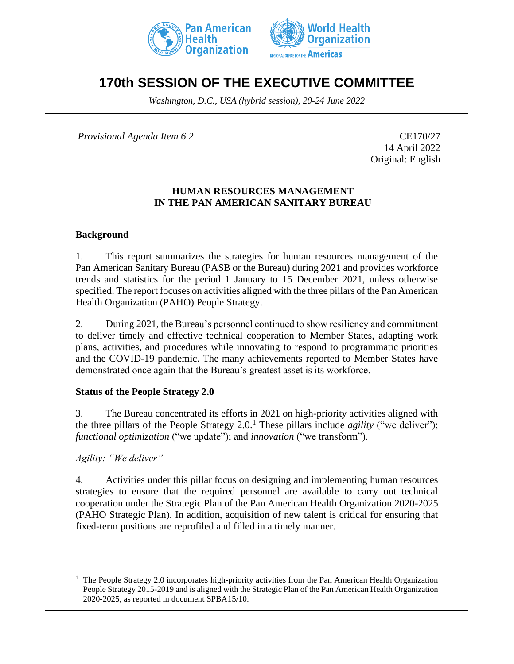



# **170th SESSION OF THE EXECUTIVE COMMITTEE**

*Washington, D.C., USA (hybrid session), 20-24 June 2022*

*Provisional Agenda Item 6.2* CE170/27

14 April 2022 Original: English

## **HUMAN RESOURCES MANAGEMENT IN THE PAN AMERICAN SANITARY BUREAU**

## **Background**

1. This report summarizes the strategies for human resources management of the Pan American Sanitary Bureau (PASB or the Bureau) during 2021 and provides workforce trends and statistics for the period 1 January to 15 December 2021, unless otherwise specified. The report focuses on activities aligned with the three pillars of the Pan American Health Organization (PAHO) People Strategy.

2. During 2021, the Bureau's personnel continued to show resiliency and commitment to deliver timely and effective technical cooperation to Member States, adapting work plans, activities, and procedures while innovating to respond to programmatic priorities and the COVID-19 pandemic. The many achievements reported to Member States have demonstrated once again that the Bureau's greatest asset is its workforce.

## **Status of the People Strategy 2.0**

3. The Bureau concentrated its efforts in 2021 on high-priority activities aligned with the three pillars of the People Strategy  $2.0$ .<sup>1</sup> These pillars include *agility* ("we deliver"); *functional optimization* ("we update"); and *innovation* ("we transform").

*Agility: "We deliver"*

4. Activities under this pillar focus on designing and implementing human resources strategies to ensure that the required personnel are available to carry out technical cooperation under the Strategic Plan of the Pan American Health Organization 2020-2025 (PAHO Strategic Plan). In addition, acquisition of new talent is critical for ensuring that fixed-term positions are reprofiled and filled in a timely manner.

<sup>1</sup> The People Strategy 2.0 incorporates high-priority activities from the Pan American Health Organization People Strategy 2015-2019 and is aligned with the Strategic Plan of the Pan American Health Organization 2020-2025, as reported in document SPBA15/10.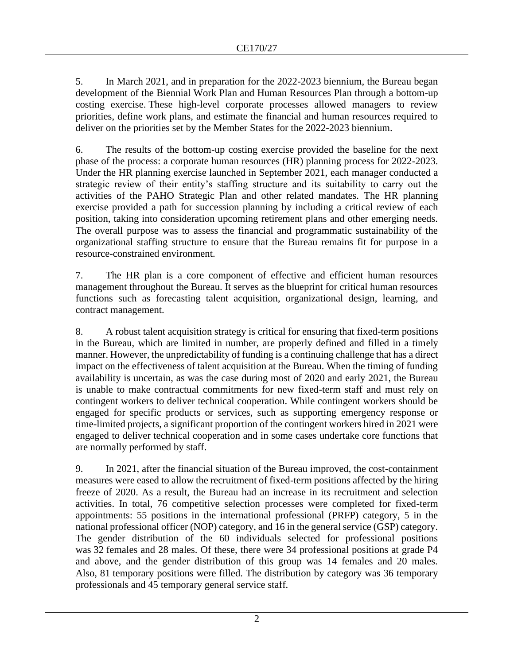5. In March 2021, and in preparation for the 2022-2023 biennium, the Bureau began development of the Biennial Work Plan and Human Resources Plan through a bottom-up costing exercise. These high-level corporate processes allowed managers to review priorities, define work plans, and estimate the financial and human resources required to deliver on the priorities set by the Member States for the 2022-2023 biennium.

6. The results of the bottom-up costing exercise provided the baseline for the next phase of the process: a corporate human resources (HR) planning process for 2022-2023. Under the HR planning exercise launched in September 2021, each manager conducted a strategic review of their entity's staffing structure and its suitability to carry out the activities of the PAHO Strategic Plan and other related mandates. The HR planning exercise provided a path for succession planning by including a critical review of each position, taking into consideration upcoming retirement plans and other emerging needs. The overall purpose was to assess the financial and programmatic sustainability of the organizational staffing structure to ensure that the Bureau remains fit for purpose in a resource-constrained environment.

7. The HR plan is a core component of effective and efficient human resources management throughout the Bureau. It serves as the blueprint for critical human resources functions such as forecasting talent acquisition, organizational design, learning, and contract management.

8. A robust talent acquisition strategy is critical for ensuring that fixed-term positions in the Bureau, which are limited in number, are properly defined and filled in a timely manner. However, the unpredictability of funding is a continuing challenge that has a direct impact on the effectiveness of talent acquisition at the Bureau. When the timing of funding availability is uncertain, as was the case during most of 2020 and early 2021, the Bureau is unable to make contractual commitments for new fixed-term staff and must rely on contingent workers to deliver technical cooperation. While contingent workers should be engaged for specific products or services, such as supporting emergency response or time-limited projects, a significant proportion of the contingent workers hired in 2021 were engaged to deliver technical cooperation and in some cases undertake core functions that are normally performed by staff.

9. In 2021, after the financial situation of the Bureau improved, the cost-containment measures were eased to allow the recruitment of fixed-term positions affected by the hiring freeze of 2020. As a result, the Bureau had an increase in its recruitment and selection activities. In total, 76 competitive selection processes were completed for fixed-term appointments: 55 positions in the international professional (PRFP) category, 5 in the national professional officer (NOP) category, and 16 in the general service (GSP) category. The gender distribution of the 60 individuals selected for professional positions was 32 females and 28 males. Of these, there were 34 professional positions at grade P4 and above, and the gender distribution of this group was 14 females and 20 males. Also, 81 temporary positions were filled. The distribution by category was 36 temporary professionals and 45 temporary general service staff.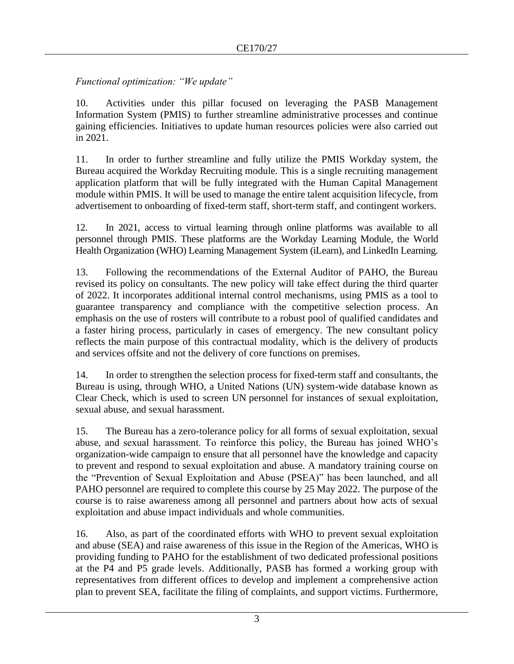# *Functional optimization: "We update"*

10. Activities under this pillar focused on leveraging the PASB Management Information System (PMIS) to further streamline administrative processes and continue gaining efficiencies. Initiatives to update human resources policies were also carried out in 2021.

11. In order to further streamline and fully utilize the PMIS Workday system, the Bureau acquired the Workday Recruiting module. This is a single recruiting management application platform that will be fully integrated with the Human Capital Management module within PMIS. It will be used to manage the entire talent acquisition lifecycle, from advertisement to onboarding of fixed-term staff, short-term staff, and contingent workers.

12. In 2021, access to virtual learning through online platforms was available to all personnel through PMIS. These platforms are the Workday Learning Module, the World Health Organization (WHO) Learning Management System (iLearn), and LinkedIn Learning.

13. Following the recommendations of the External Auditor of PAHO, the Bureau revised its policy on consultants. The new policy will take effect during the third quarter of 2022. It incorporates additional internal control mechanisms, using PMIS as a tool to guarantee transparency and compliance with the competitive selection process. An emphasis on the use of rosters will contribute to a robust pool of qualified candidates and a faster hiring process, particularly in cases of emergency. The new consultant policy reflects the main purpose of this contractual modality, which is the delivery of products and services offsite and not the delivery of core functions on premises.

14. In order to strengthen the selection process for fixed-term staff and consultants, the Bureau is using, through WHO, a United Nations (UN) system-wide database known as Clear Check, which is used to screen UN personnel for instances of sexual exploitation, sexual abuse, and sexual harassment.

15. The Bureau has a zero-tolerance policy for all forms of sexual exploitation, sexual abuse, and sexual harassment. To reinforce this policy, the Bureau has joined WHO's organization-wide campaign to ensure that all personnel have the knowledge and capacity to prevent and respond to sexual exploitation and abuse. A mandatory training course on the "Prevention of Sexual Exploitation and Abuse (PSEA)" has been launched, and all PAHO personnel are required to complete this course by 25 May 2022. The purpose of the course is to raise awareness among all personnel and partners about how acts of sexual exploitation and abuse impact individuals and whole communities.

16. Also, as part of the coordinated efforts with WHO to prevent sexual exploitation and abuse (SEA) and raise awareness of this issue in the Region of the Americas, WHO is providing funding to PAHO for the establishment of two dedicated professional positions at the P4 and P5 grade levels. Additionally, PASB has formed a working group with representatives from different offices to develop and implement a comprehensive action plan to prevent SEA, facilitate the filing of complaints, and support victims. Furthermore,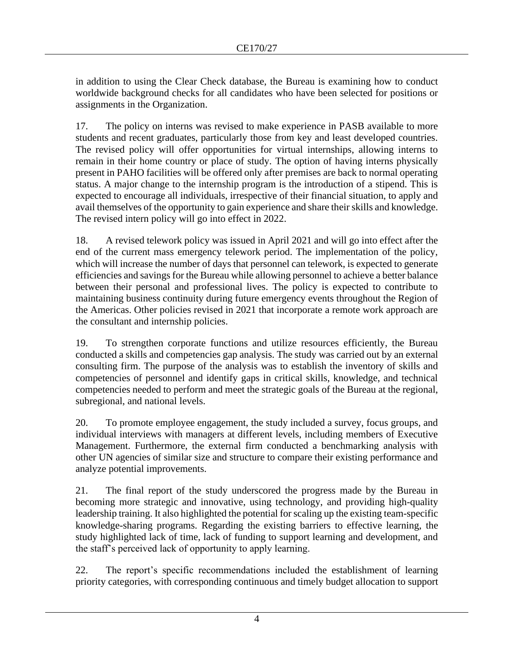in addition to using the Clear Check database, the Bureau is examining how to conduct worldwide background checks for all candidates who have been selected for positions or assignments in the Organization.

17. The policy on interns was revised to make experience in PASB available to more students and recent graduates, particularly those from key and least developed countries. The revised policy will offer opportunities for virtual internships, allowing interns to remain in their home country or place of study. The option of having interns physically present in PAHO facilities will be offered only after premises are back to normal operating status. A major change to the internship program is the introduction of a stipend. This is expected to encourage all individuals, irrespective of their financial situation, to apply and avail themselves of the opportunity to gain experience and share their skills and knowledge. The revised intern policy will go into effect in 2022.

18. A revised telework policy was issued in April 2021 and will go into effect after the end of the current mass emergency telework period. The implementation of the policy, which will increase the number of days that personnel can telework, is expected to generate efficiencies and savings for the Bureau while allowing personnel to achieve a better balance between their personal and professional lives. The policy is expected to contribute to maintaining business continuity during future emergency events throughout the Region of the Americas. Other policies revised in 2021 that incorporate a remote work approach are the consultant and internship policies.

19. To strengthen corporate functions and utilize resources efficiently, the Bureau conducted a skills and competencies gap analysis. The study was carried out by an external consulting firm. The purpose of the analysis was to establish the inventory of skills and competencies of personnel and identify gaps in critical skills, knowledge, and technical competencies needed to perform and meet the strategic goals of the Bureau at the regional, subregional, and national levels.

20. To promote employee engagement, the study included a survey, focus groups, and individual interviews with managers at different levels, including members of Executive Management. Furthermore, the external firm conducted a benchmarking analysis with other UN agencies of similar size and structure to compare their existing performance and analyze potential improvements.

21. The final report of the study underscored the progress made by the Bureau in becoming more strategic and innovative, using technology, and providing high-quality leadership training. It also highlighted the potential for scaling up the existing team-specific knowledge-sharing programs. Regarding the existing barriers to effective learning, the study highlighted lack of time, lack of funding to support learning and development, and the staff's perceived lack of opportunity to apply learning.

22. The report's specific recommendations included the establishment of learning priority categories, with corresponding continuous and timely budget allocation to support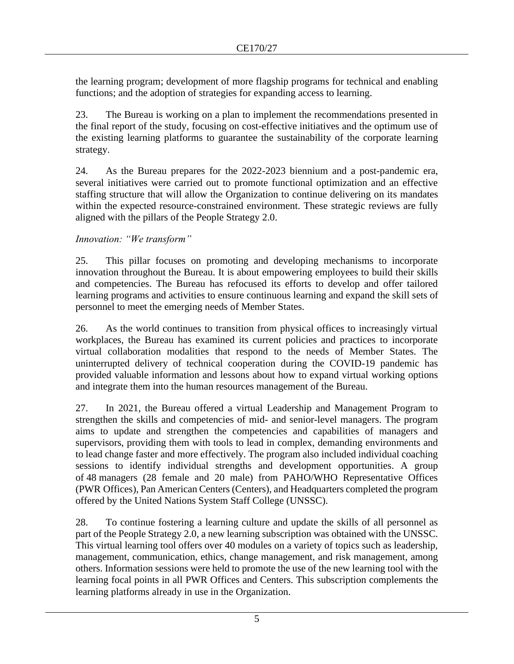the learning program; development of more flagship programs for technical and enabling functions; and the adoption of strategies for expanding access to learning.

23. The Bureau is working on a plan to implement the recommendations presented in the final report of the study, focusing on cost-effective initiatives and the optimum use of the existing learning platforms to guarantee the sustainability of the corporate learning strategy.

24. As the Bureau prepares for the 2022-2023 biennium and a post-pandemic era, several initiatives were carried out to promote functional optimization and an effective staffing structure that will allow the Organization to continue delivering on its mandates within the expected resource-constrained environment. These strategic reviews are fully aligned with the pillars of the People Strategy 2.0.

## *Innovation: "We transform"*

25. This pillar focuses on promoting and developing mechanisms to incorporate innovation throughout the Bureau. It is about empowering employees to build their skills and competencies. The Bureau has refocused its efforts to develop and offer tailored learning programs and activities to ensure continuous learning and expand the skill sets of personnel to meet the emerging needs of Member States.

26. As the world continues to transition from physical offices to increasingly virtual workplaces, the Bureau has examined its current policies and practices to incorporate virtual collaboration modalities that respond to the needs of Member States. The uninterrupted delivery of technical cooperation during the COVID-19 pandemic has provided valuable information and lessons about how to expand virtual working options and integrate them into the human resources management of the Bureau.

27. In 2021, the Bureau offered a virtual Leadership and Management Program to strengthen the skills and competencies of mid- and senior-level managers. The program aims to update and strengthen the competencies and capabilities of managers and supervisors, providing them with tools to lead in complex, demanding environments and to lead change faster and more effectively. The program also included individual coaching sessions to identify individual strengths and development opportunities. A group of 48 managers (28 female and 20 male) from PAHO/WHO Representative Offices (PWR Offices), Pan American Centers (Centers), and Headquarters completed the program offered by the United Nations System Staff College (UNSSC).

28. To continue fostering a learning culture and update the skills of all personnel as part of the People Strategy 2.0, a new learning subscription was obtained with the UNSSC. This virtual learning tool offers over 40 modules on a variety of topics such as leadership, management, communication, ethics, change management, and risk management, among others. Information sessions were held to promote the use of the new learning tool with the learning focal points in all PWR Offices and Centers. This subscription complements the learning platforms already in use in the Organization.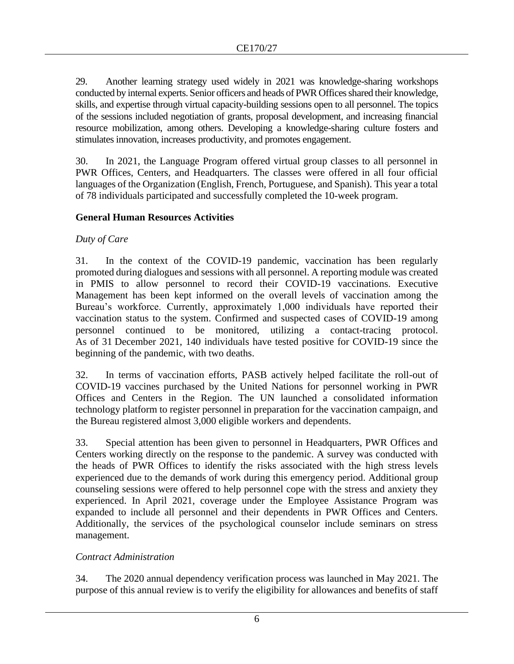29. Another learning strategy used widely in 2021 was knowledge-sharing workshops conducted by internal experts. Senior officers and heads of PWR Offices shared their knowledge, skills, and expertise through virtual capacity-building sessions open to all personnel. The topics of the sessions included negotiation of grants, proposal development, and increasing financial resource mobilization, among others. Developing a knowledge-sharing culture fosters and stimulates innovation, increases productivity, and promotes engagement.

30. In 2021, the Language Program offered virtual group classes to all personnel in PWR Offices, Centers, and Headquarters. The classes were offered in all four official languages of the Organization (English, French, Portuguese, and Spanish). This year a total of 78 individuals participated and successfully completed the 10-week program.

# **General Human Resources Activities**

# *Duty of Care*

31. In the context of the COVID-19 pandemic, vaccination has been regularly promoted during dialogues and sessions with all personnel. A reporting module was created in PMIS to allow personnel to record their COVID-19 vaccinations. Executive Management has been kept informed on the overall levels of vaccination among the Bureau's workforce. Currently, approximately 1,000 individuals have reported their vaccination status to the system. Confirmed and suspected cases of COVID-19 among personnel continued to be monitored, utilizing a contact-tracing protocol. As of 31 December 2021, 140 individuals have tested positive for COVID-19 since the beginning of the pandemic, with two deaths.

32. In terms of vaccination efforts, PASB actively helped facilitate the roll-out of COVID-19 vaccines purchased by the United Nations for personnel working in PWR Offices and Centers in the Region. The UN launched a consolidated information technology platform to register personnel in preparation for the vaccination campaign, and the Bureau registered almost 3,000 eligible workers and dependents.

33. Special attention has been given to personnel in Headquarters, PWR Offices and Centers working directly on the response to the pandemic. A survey was conducted with the heads of PWR Offices to identify the risks associated with the high stress levels experienced due to the demands of work during this emergency period. Additional group counseling sessions were offered to help personnel cope with the stress and anxiety they experienced. In April 2021, coverage under the Employee Assistance Program was expanded to include all personnel and their dependents in PWR Offices and Centers. Additionally, the services of the psychological counselor include seminars on stress management.

# *Contract Administration*

34. The 2020 annual dependency verification process was launched in May 2021. The purpose of this annual review is to verify the eligibility for allowances and benefits of staff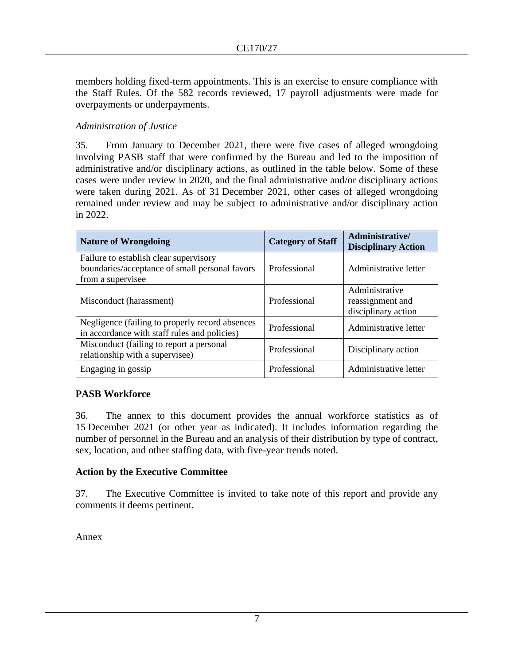members holding fixed-term appointments. This is an exercise to ensure compliance with the Staff Rules. Of the 582 records reviewed, 17 payroll adjustments were made for overpayments or underpayments.

## *Administration of Justice*

35. From January to December 2021, there were five cases of alleged wrongdoing involving PASB staff that were confirmed by the Bureau and led to the imposition of administrative and/or disciplinary actions, as outlined in the table below. Some of these cases were under review in 2020, and the final administrative and/or disciplinary actions were taken during 2021. As of 31 December 2021, other cases of alleged wrongdoing remained under review and may be subject to administrative and/or disciplinary action in 2022.

| <b>Nature of Wrongdoing</b>                                                                                   | <b>Category of Staff</b> | Administrative/<br><b>Disciplinary Action</b>             |
|---------------------------------------------------------------------------------------------------------------|--------------------------|-----------------------------------------------------------|
| Failure to establish clear supervisory<br>boundaries/acceptance of small personal favors<br>from a supervisee | Professional             | Administrative letter                                     |
| Misconduct (harassment)                                                                                       | Professional             | Administrative<br>reassignment and<br>disciplinary action |
| Negligence (failing to properly record absences<br>in accordance with staff rules and policies)               | Professional             | Administrative letter                                     |
| Misconduct (failing to report a personal<br>relationship with a supervisee)                                   | Professional             | Disciplinary action                                       |
| Engaging in gossip                                                                                            | Professional             | Administrative letter                                     |

## **PASB Workforce**

36. The annex to this document provides the annual workforce statistics as of 15 December 2021 (or other year as indicated). It includes information regarding the number of personnel in the Bureau and an analysis of their distribution by type of contract, sex, location, and other staffing data, with five-year trends noted.

## **Action by the Executive Committee**

37. The Executive Committee is invited to take note of this report and provide any comments it deems pertinent.

Annex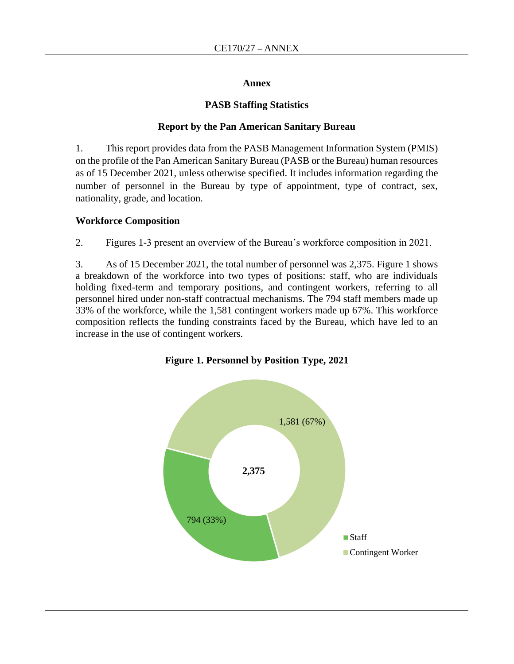#### **Annex**

#### **PASB Staffing Statistics**

#### **Report by the Pan American Sanitary Bureau**

1. This report provides data from the PASB Management Information System (PMIS) on the profile of the Pan American Sanitary Bureau (PASB or the Bureau) human resources as of 15 December 2021, unless otherwise specified. It includes information regarding the number of personnel in the Bureau by type of appointment, type of contract, sex, nationality, grade, and location.

#### **Workforce Composition**

2. Figures 1-3 present an overview of the Bureau's workforce composition in 2021.

3. As of 15 December 2021, the total number of personnel was 2,375. Figure 1 shows a breakdown of the workforce into two types of positions: staff, who are individuals holding fixed-term and temporary positions, and contingent workers, referring to all personnel hired under non-staff contractual mechanisms. The 794 staff members made up 33% of the workforce, while the 1,581 contingent workers made up 67%. This workforce composition reflects the funding constraints faced by the Bureau, which have led to an increase in the use of contingent workers.



**Figure 1. Personnel by Position Type, 2021**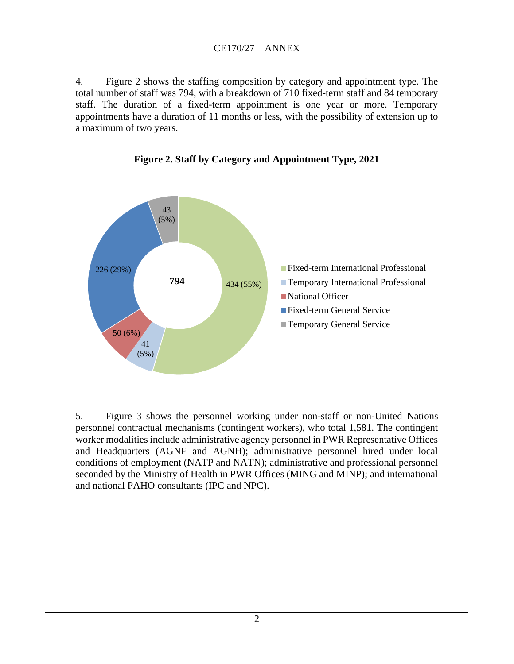4. Figure 2 shows the staffing composition by category and appointment type. The total number of staff was 794, with a breakdown of 710 fixed-term staff and 84 temporary staff. The duration of a fixed-term appointment is one year or more. Temporary appointments have a duration of 11 months or less, with the possibility of extension up to a maximum of two years.



**Figure 2. Staff by Category and Appointment Type, 2021**

5. Figure 3 shows the personnel working under non-staff or non-United Nations personnel contractual mechanisms (contingent workers), who total 1,581. The contingent worker modalities include administrative agency personnel in PWR Representative Offices and Headquarters (AGNF and AGNH); administrative personnel hired under local conditions of employment (NATP and NATN); administrative and professional personnel seconded by the Ministry of Health in PWR Offices (MING and MINP); and international and national PAHO consultants (IPC and NPC).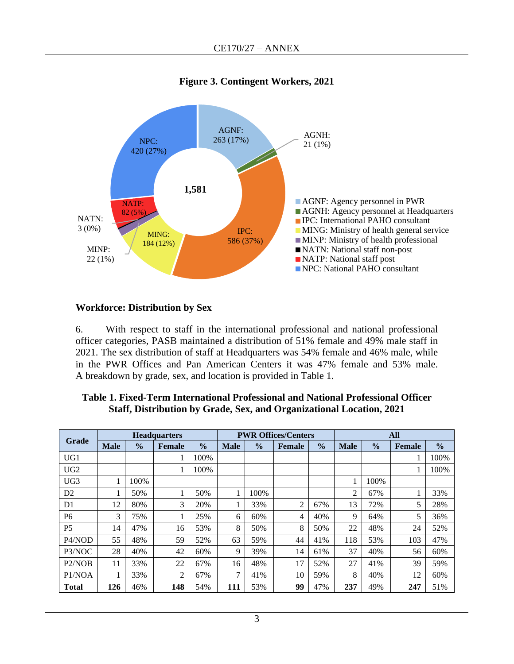

# **Figure 3. Contingent Workers, 2021**

## **Workforce: Distribution by Sex**

6. With respect to staff in the international professional and national professional officer categories, PASB maintained a distribution of 51% female and 49% male staff in 2021. The sex distribution of staff at Headquarters was 54% female and 46% male, while in the PWR Offices and Pan American Centers it was 47% female and 53% male. A breakdown by grade, sex, and location is provided in Table 1.

|                 | <b>Headquarters</b> |               |                |               |             | <b>PWR Offices/Centers</b> |               | <b>All</b>    |             |               |               |               |
|-----------------|---------------------|---------------|----------------|---------------|-------------|----------------------------|---------------|---------------|-------------|---------------|---------------|---------------|
| Grade           | <b>Male</b>         | $\frac{0}{0}$ | <b>Female</b>  | $\frac{0}{0}$ | <b>Male</b> | $\frac{0}{0}$              | <b>Female</b> | $\frac{0}{0}$ | <b>Male</b> | $\frac{0}{0}$ | <b>Female</b> | $\frac{0}{0}$ |
| UG1             |                     |               |                | 100%          |             |                            |               |               |             |               |               | 100%          |
| UG <sub>2</sub> |                     |               |                | 100%          |             |                            |               |               |             |               |               | 100%          |
| UG <sub>3</sub> |                     | 100%          |                |               |             |                            |               |               |             | 100%          |               |               |
| D <sub>2</sub>  |                     | 50%           |                | 50%           |             | 100%                       |               |               | 2           | 67%           |               | 33%           |
| D1              | 12                  | 80%           | 3              | 20%           |             | 33%                        | 2             | 67%           | 13          | 72%           | 5             | 28%           |
| P <sub>6</sub>  | 3                   | 75%           |                | 25%           | 6           | 60%                        | 4             | 40%           | 9           | 64%           | 5             | 36%           |
| P <sub>5</sub>  | 14                  | 47%           | 16             | 53%           | 8           | 50%                        | 8             | 50%           | 22          | 48%           | 24            | 52%           |
| P4/NOD          | 55                  | 48%           | 59             | 52%           | 63          | 59%                        | 44            | 41%           | 118         | 53%           | 103           | 47%           |
| P3/NOC          | 28                  | 40%           | 42             | 60%           | 9           | 39%                        | 14            | 61%           | 37          | 40%           | 56            | 60%           |
| P2/NOB          | 11                  | 33%           | 22             | 67%           | 16          | 48%                        | 17            | 52%           | 27          | 41%           | 39            | 59%           |
| P1/NOA          |                     | 33%           | $\overline{2}$ | 67%           | 7           | 41%                        | 10            | 59%           | 8           | 40%           | 12            | 60%           |
| <b>Total</b>    | 126                 | 46%           | 148            | 54%           | 111         | 53%                        | 99            | 47%           | 237         | 49%           | 247           | 51%           |

## **Table 1. Fixed-Term International Professional and National Professional Officer Staff, Distribution by Grade, Sex, and Organizational Location, 2021**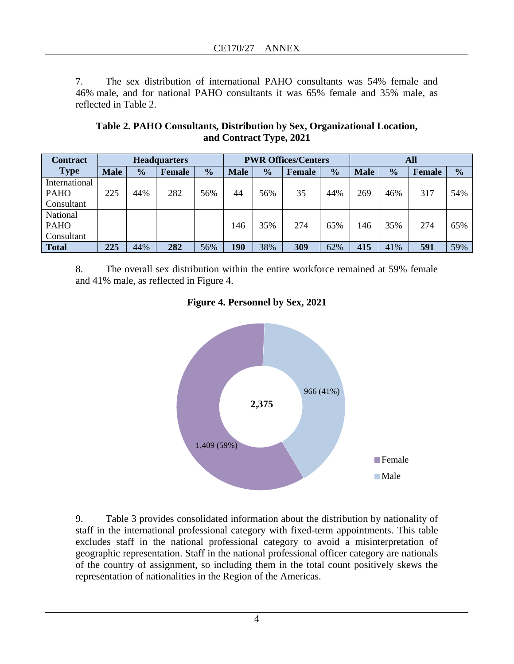7. The sex distribution of international PAHO consultants was 54% female and 46% male, and for national PAHO consultants it was 65% female and 35% male, as reflected in Table 2.

| Table 2. PAHO Consultants, Distribution by Sex, Organizational Location, |
|--------------------------------------------------------------------------|
| and Contract Type, 2021                                                  |

| <b>Contract</b> | <b>Headquarters</b> |               |        |               | <b>PWR Offices/Centers</b> |               |        |               | All         |               |        |               |
|-----------------|---------------------|---------------|--------|---------------|----------------------------|---------------|--------|---------------|-------------|---------------|--------|---------------|
| <b>Type</b>     | <b>Male</b>         | $\frac{0}{0}$ | Female | $\frac{1}{2}$ | <b>Male</b>                | $\frac{0}{0}$ | Female | $\frac{1}{2}$ | <b>Male</b> | $\frac{0}{0}$ | Female | $\frac{0}{0}$ |
| International   |                     |               |        |               |                            |               |        |               |             |               |        |               |
| <b>PAHO</b>     | 225                 | 44%           | 282    | 56%           | 44                         | 56%           | 35     | 44%           | 269         | 46%           | 317    | 54%           |
| Consultant      |                     |               |        |               |                            |               |        |               |             |               |        |               |
| National        |                     |               |        |               |                            |               |        |               |             |               |        |               |
| <b>PAHO</b>     |                     |               |        |               | 146                        | 35%           | 274    | 65%           | 146         | 35%           | 274    | 65%           |
| Consultant      |                     |               |        |               |                            |               |        |               |             |               |        |               |
| <b>Total</b>    | 225                 | 44%           | 282    | 56%           | 190                        | 38%           | 309    | 62%           | 415         | 41%           | 591    | 59%           |

8. The overall sex distribution within the entire workforce remained at 59% female and 41% male, as reflected in Figure 4.





9. Table 3 provides consolidated information about the distribution by nationality of staff in the international professional category with fixed-term appointments. This table excludes staff in the national professional category to avoid a misinterpretation of geographic representation. Staff in the national professional officer category are nationals of the country of assignment, so including them in the total count positively skews the representation of nationalities in the Region of the Americas.

4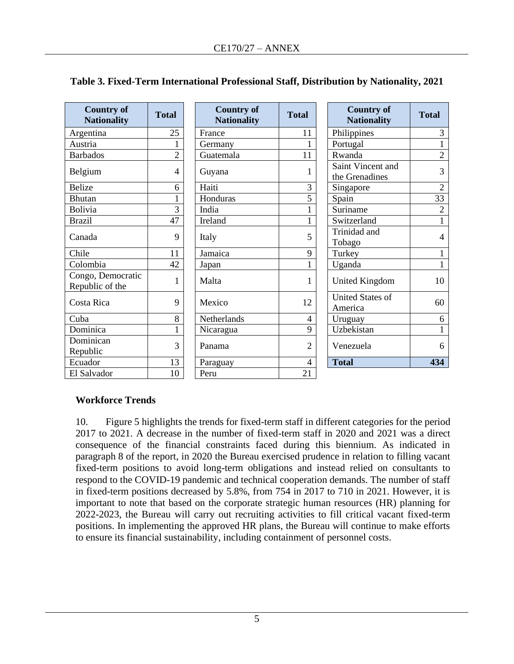| <b>Country of</b><br><b>Nationality</b> | <b>Total</b>   | <b>Country of</b><br><b>Nationality</b> | <b>Total</b>   | <b>Country of</b><br><b>Nationality</b> | <b>Total</b>   |
|-----------------------------------------|----------------|-----------------------------------------|----------------|-----------------------------------------|----------------|
| Argentina                               | 25             | France                                  | 11             | Philippines                             | 3              |
| Austria                                 |                | Germany                                 |                | Portugal                                |                |
| <b>Barbados</b>                         | $\overline{2}$ | Guatemala                               | 11             | Rwanda                                  | $\overline{2}$ |
| Belgium                                 | 4              | Guyana                                  |                | Saint Vincent and<br>the Grenadines     | 3              |
| <b>Belize</b>                           | 6              | Haiti                                   | 3              | Singapore                               | $\overline{2}$ |
| <b>Bhutan</b>                           |                | Honduras                                | 5              | Spain                                   | 33             |
| Bolivia                                 | 3              | India                                   |                | Suriname                                | $\overline{2}$ |
| <b>Brazil</b>                           | 47             | Ireland                                 |                | Switzerland                             |                |
| Canada                                  | 9              | Italy                                   | 5              | Trinidad and<br>Tobago                  | 4              |
| Chile                                   | 11             | Jamaica                                 | 9              | Turkey                                  |                |
| Colombia                                | 42             | Japan                                   |                | Uganda                                  | $\mathbf{1}$   |
| Congo, Democratic<br>Republic of the    |                | Malta                                   | 1              | <b>United Kingdom</b>                   | 10             |
| Costa Rica                              | 9              | Mexico                                  | 12             | <b>United States of</b><br>America      | 60             |
| Cuba                                    | 8              | Netherlands                             | 4              | Uruguay                                 | 6              |
| Dominica                                |                | Nicaragua                               | 9              | Uzbekistan                              |                |
| Dominican<br>Republic                   | 3              | Panama                                  | $\overline{2}$ | Venezuela                               | 6              |
| Ecuador                                 | 13             | Paraguay                                | 4              | <b>Total</b>                            | 434            |
| El Salvador                             | 10             | Peru                                    | 21             |                                         |                |

# **Table 3. Fixed-Term International Professional Staff, Distribution by Nationality, 2021**

## **Workforce Trends**

10. Figure 5 highlights the trends for fixed-term staff in different categories for the period 2017 to 2021. A decrease in the number of fixed-term staff in 2020 and 2021 was a direct consequence of the financial constraints faced during this biennium. As indicated in paragraph 8 of the report, in 2020 the Bureau exercised prudence in relation to filling vacant fixed-term positions to avoid long-term obligations and instead relied on consultants to respond to the COVID-19 pandemic and technical cooperation demands. The number of staff in fixed-term positions decreased by 5.8%, from 754 in 2017 to 710 in 2021. However, it is important to note that based on the corporate strategic human resources (HR) planning for 2022-2023, the Bureau will carry out recruiting activities to fill critical vacant fixed-term positions. In implementing the approved HR plans, the Bureau will continue to make efforts to ensure its financial sustainability, including containment of personnel costs.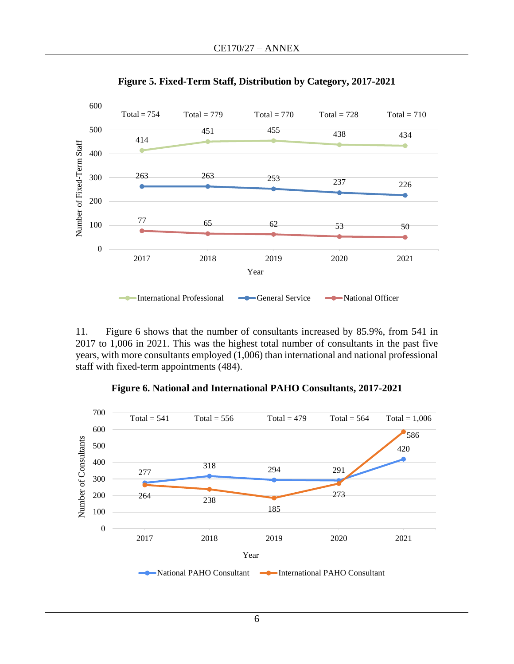

**Figure 5. Fixed-Term Staff, Distribution by Category, 2017-2021**

11. Figure 6 shows that the number of consultants increased by 85.9%, from 541 in 2017 to 1,006 in 2021. This was the highest total number of consultants in the past five years, with more consultants employed (1,006) than international and national professional staff with fixed-term appointments (484).